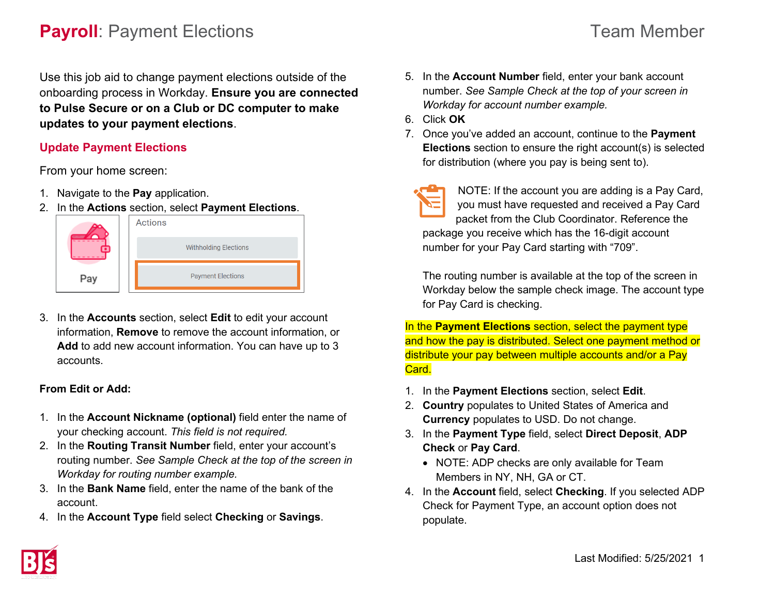# **Payroll**: Payment Elections **Team Member** Team Member

Use this job aid to change payment elections outside of the onboarding process in Workday. **Ensure you are connected to Pulse Secure or on a Club or DC computer to make updates to your payment elections**.

### **Update Payment Elections**

From your home screen:

- 1. Navigate to the **Pay** application.
- 2. In the **Actions** section, select **Payment Elections**.



3. In the **Accounts** section, select **Edit** to edit your account information, **Remove** to remove the account information, or **Add** to add new account information. You can have up to 3 accounts.

### **From Edit or Add:**

- 1. In the **Account Nickname (optional)** field enter the name of your checking account. *This field is not required.*
- 2. In the **Routing Transit Number** field, enter your account's routing number. *See Sample Check at the top of the screen in Workday for routing number example.*
- 3. In the **Bank Name** field, enter the name of the bank of the account.
- 4. In the **Account Type** field select **Checking** or **Savings**.
- 5. In the **Account Number** field, enter your bank account number. *See Sample Check at the top of your screen in Workday for account number example.*
- 6. Click **OK**
- 7. Once you've added an account, continue to the **Payment Elections** section to ensure the right account(s) is selected for distribution (where you pay is being sent to).
- 

NOTE: If the account you are adding is a Pay Card, you must have requested and received a Pay Card packet from the Club Coordinator. Reference the package you receive which has the 16-digit account number for your Pay Card starting with "709".

The routing number is available at the top of the screen in Workday below the sample check image. The account type for Pay Card is checking.

In the **Payment Elections** section, select the payment type and how the pay is distributed. Select one payment method or distribute your pay between multiple accounts and/or a Pay Card.

- 1. In the **Payment Elections** section, select **Edit**.
- 2. **Country** populates to United States of America and **Currency** populates to USD. Do not change.
- 3. In the **Payment Type** field, select **Direct Deposit**, **ADP Check** or **Pay Card**.
	- NOTE: ADP checks are only available for Team Members in NY, NH, GA or CT.
- 4. In the **Account** field, select **Checking**. If you selected ADP Check for Payment Type, an account option does not populate.